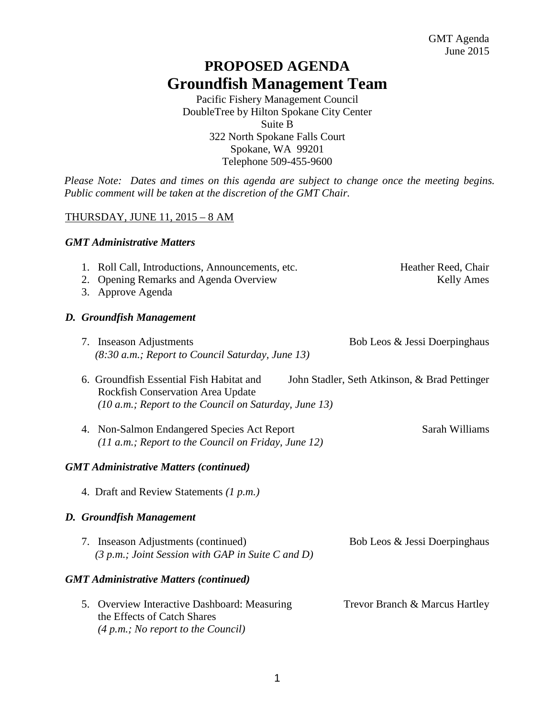# **PROPOSED AGENDA Groundfish Management Team**

Pacific Fishery Management Council DoubleTree by Hilton Spokane City Center Suite B 322 North Spokane Falls Court Spokane, WA 99201 Telephone 509-455-9600

*Please Note: Dates and times on this agenda are subject to change once the meeting begins. Public comment will be taken at the discretion of the GMT Chair.* 

## THURSDAY, JUNE 11, 2015 – 8 AM

### *GMT Administrative Matters*

| 1. Roll Call, Introductions, Announcements, etc. | Heather Reed, Chair |
|--------------------------------------------------|---------------------|
| 2. Opening Remarks and Agenda Overview           | <b>Kelly Ames</b>   |
| 3. Approve Agenda                                |                     |

### *D. Groundfish Management*

| 7. Inseason Adjustments                            | Bob Leos & Jessi Doerpinghaus |
|----------------------------------------------------|-------------------------------|
| $(8:30 a.m.; Report to Council Saturday, June 13)$ |                               |

- 6. Groundfish Essential Fish Habitat and John Stadler, Seth Atkinson, & Brad Pettinger Rockfish Conservation Area Update *(10 a.m.; Report to the Council on Saturday, June 13)*
- 4. Non-Salmon Endangered Species Act Report Sarah Williams *(11 a.m.; Report to the Council on Friday, June 12)*

### *GMT Administrative Matters (continued)*

4. Draft and Review Statements *(1 p.m.)* 

### *D. Groundfish Management*

| 7. Inseason Adjustments (continued)                 | Bob Leos & Jessi Doerpinghaus |
|-----------------------------------------------------|-------------------------------|
| $(3 p.m.; Joint Session with GAP in Suite C and D)$ |                               |

### *GMT Administrative Matters (continued)*

| 5. Overview Interactive Dashboard: Measuring | Trevor Branch & Marcus Hartley |
|----------------------------------------------|--------------------------------|
| the Effects of Catch Shares                  |                                |
| (4 p.m.; No report to the Council)           |                                |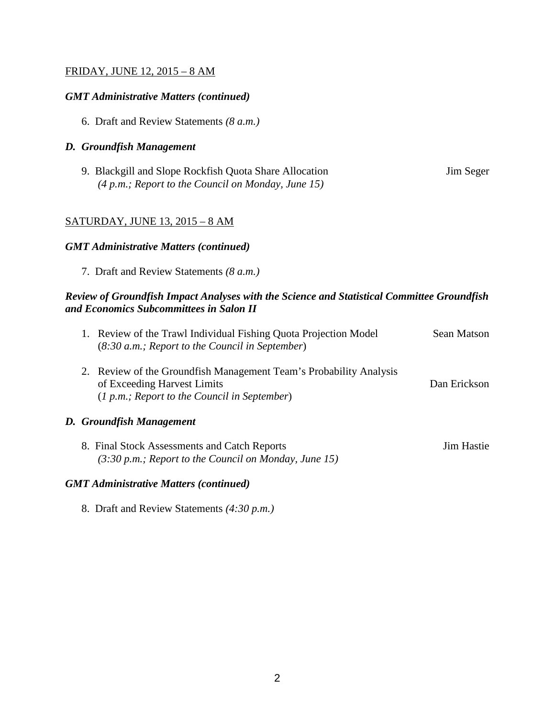### FRIDAY, JUNE 12, 2015 – 8 AM

### *GMT Administrative Matters (continued)*

6. Draft and Review Statements *(8 a.m.)* 

#### *D. Groundfish Management*

| 9. Blackgill and Slope Rockfish Quota Share Allocation | Jim Seger |
|--------------------------------------------------------|-----------|
| $(4 p.m.; Report to the Council on Monday, June 15)$   |           |

### SATURDAY, JUNE 13, 2015 – 8 AM

#### *GMT Administrative Matters (continued)*

7. Draft and Review Statements *(8 a.m.)* 

#### *Review of Groundfish Impact Analyses with the Science and Statistical Committee Groundfish and Economics Subcommittees in Salon II*

|  | 1. Review of the Trawl Individual Fishing Quota Projection Model<br>$(8:30 a.m.;$ Report to the Council in September)                               | Sean Matson  |
|--|-----------------------------------------------------------------------------------------------------------------------------------------------------|--------------|
|  | 2. Review of the Groundfish Management Team's Probability Analysis<br>of Exceeding Harvest Limits<br>$(1 p.m.; Report to the Council in September)$ | Dan Erickson |
|  | D. Groundfish Management                                                                                                                            |              |

8. Final Stock Assessments and Catch Reports Jim Hastie *(3:30 p.m.; Report to the Council on Monday, June 15)*

#### *GMT Administrative Matters (continued)*

8. Draft and Review Statements *(4:30 p.m.)*